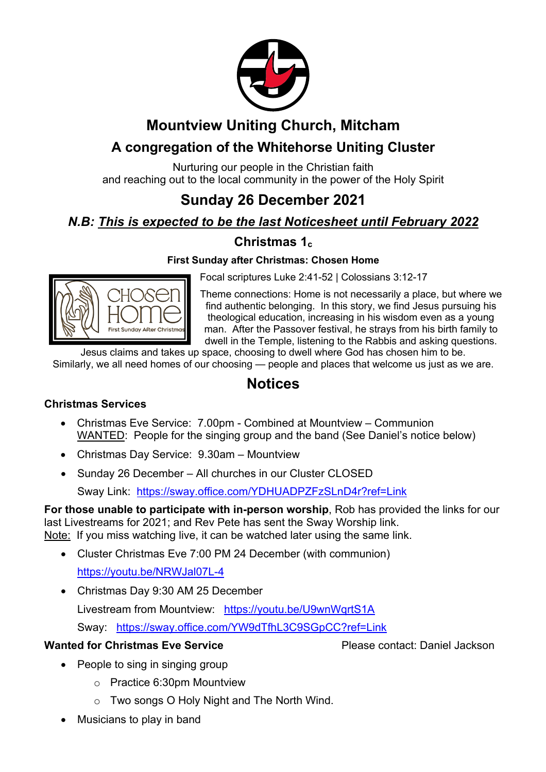

# **Mountview Uniting Church, Mitcham**

# **A congregation of the Whitehorse Uniting Cluster**

Nurturing our people in the Christian faith and reaching out to the local community in the power of the Holy Spirit

# **Sunday 26 December 2021**

# *N.B: This is expected to be the last Noticesheet until February 2022*

# **Christmas 1c**

### **First Sunday after Christmas: Chosen Home**

Focal scriptures Luke 2:41-52 | Colossians 3:12-17

Theme connections: Home is not necessarily a place, but where we find authentic belonging. In this story, we find Jesus pursuing his theological education, increasing in his wisdom even as a young man. After the Passover festival, he strays from his birth family to dwell in the Temple, listening to the Rabbis and asking questions.

Jesus claims and takes up space, choosing to dwell where God has chosen him to be. Similarly, we all need homes of our choosing — people and places that welcome us just as we are.

# **Notices**

### **Christmas Services**

- Christmas Eve Service: 7.00pm Combined at Mountview Communion WANTED: People for the singing group and the band (See Daniel's notice below)
- Christmas Day Service: 9.30am Mountview
- Sunday 26 December All churches in our Cluster CLOSED

Sway Link: https://sway.office.com/YDHUADPZFzSLnD4r?ref=Link

**For those unable to participate with in-person worship**, Rob has provided the links for our last Livestreams for 2021; and Rev Pete has sent the Sway Worship link. Note: If you miss watching live, it can be watched later using the same link.

- Cluster Christmas Eve 7:00 PM 24 December (with communion) https://youtu.be/NRWJal07L-4
- Christmas Day 9:30 AM 25 December

Livestream from Mountview: https://youtu.be/U9wnWqrtS1A Sway: https://sway.office.com/YW9dTfhL3C9SGpCC?ref=Link

### **Wanted for Christmas Eve Service Please contact: Daniel Jackson**

- People to sing in singing group
	- o Practice 6:30pm Mountview
	- o Two songs O Holy Night and The North Wind.
- Musicians to play in band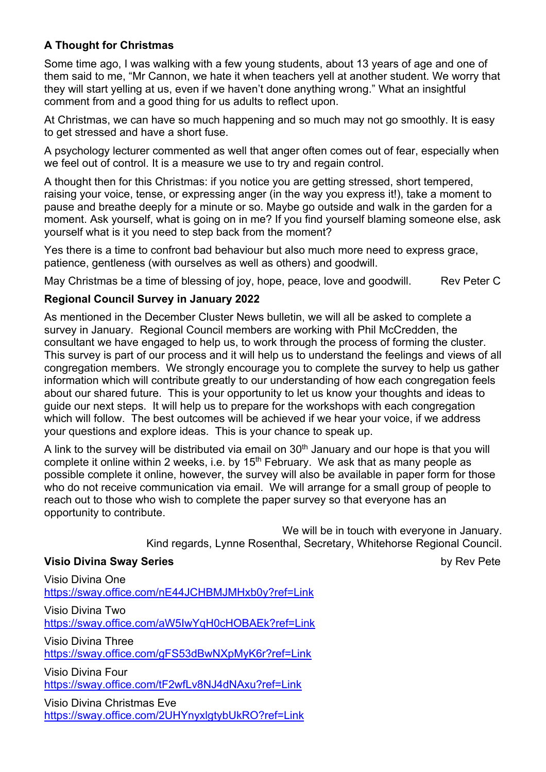### **A Thought for Christmas**

Some time ago, I was walking with a few young students, about 13 years of age and one of them said to me, "Mr Cannon, we hate it when teachers yell at another student. We worry that they will start yelling at us, even if we haven't done anything wrong." What an insightful comment from and a good thing for us adults to reflect upon.

At Christmas, we can have so much happening and so much may not go smoothly. It is easy to get stressed and have a short fuse.

A psychology lecturer commented as well that anger often comes out of fear, especially when we feel out of control. It is a measure we use to try and regain control.

A thought then for this Christmas: if you notice you are getting stressed, short tempered, raising your voice, tense, or expressing anger (in the way you express it!), take a moment to pause and breathe deeply for a minute or so. Maybe go outside and walk in the garden for a moment. Ask yourself, what is going on in me? If you find yourself blaming someone else, ask yourself what is it you need to step back from the moment?

Yes there is a time to confront bad behaviour but also much more need to express grace, patience, gentleness (with ourselves as well as others) and goodwill.

May Christmas be a time of blessing of joy, hope, peace, love and goodwill. Rev Peter C

#### **Regional Council Survey in January 2022**

As mentioned in the December Cluster News bulletin, we will all be asked to complete a survey in January. Regional Council members are working with Phil McCredden, the consultant we have engaged to help us, to work through the process of forming the cluster. This survey is part of our process and it will help us to understand the feelings and views of all congregation members. We strongly encourage you to complete the survey to help us gather information which will contribute greatly to our understanding of how each congregation feels about our shared future. This is your opportunity to let us know your thoughts and ideas to guide our next steps. It will help us to prepare for the workshops with each congregation which will follow. The best outcomes will be achieved if we hear your voice, if we address your questions and explore ideas. This is your chance to speak up.

A link to the survey will be distributed via email on  $30<sup>th</sup>$  January and our hope is that you will complete it online within 2 weeks, i.e. by 15<sup>th</sup> February. We ask that as many people as possible complete it online, however, the survey will also be available in paper form for those who do not receive communication via email. We will arrange for a small group of people to reach out to those who wish to complete the paper survey so that everyone has an opportunity to contribute.

> We will be in touch with everyone in January. Kind regards, Lynne Rosenthal, Secretary, Whitehorse Regional Council.

#### **Visio Divina Sway Series** by Rev Pete

Visio Divina One https://sway.office.com/nE44JCHBMJMHxb0y?ref=Link Visio Divina Two https://sway.office.com/aW5IwYqH0cHOBAEk?ref=Link

Visio Divina Three https://sway.office.com/gFS53dBwNXpMyK6r?ref=Link

Visio Divina Four https://sway.office.com/tF2wfLv8NJ4dNAxu?ref=Link

Visio Divina Christmas Eve https://sway.office.com/2UHYnyxlgtybUkRO?ref=Link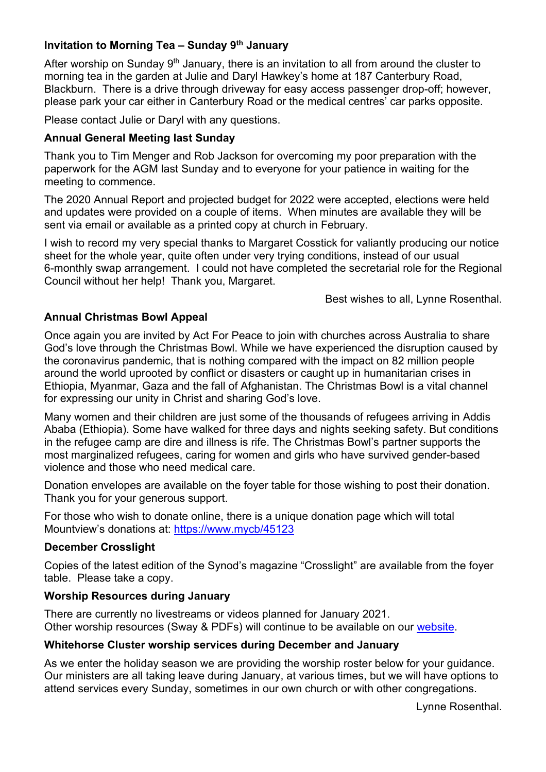#### **Invitation to Morning Tea – Sunday 9th January**

After worship on Sunday  $9<sup>th</sup>$  January, there is an invitation to all from around the cluster to morning tea in the garden at Julie and Daryl Hawkey's home at 187 Canterbury Road, Blackburn. There is a drive through driveway for easy access passenger drop-off; however, please park your car either in Canterbury Road or the medical centres' car parks opposite.

Please contact Julie or Daryl with any questions.

#### **Annual General Meeting last Sunday**

Thank you to Tim Menger and Rob Jackson for overcoming my poor preparation with the paperwork for the AGM last Sunday and to everyone for your patience in waiting for the meeting to commence.

The 2020 Annual Report and projected budget for 2022 were accepted, elections were held and updates were provided on a couple of items. When minutes are available they will be sent via email or available as a printed copy at church in February.

I wish to record my very special thanks to Margaret Cosstick for valiantly producing our notice sheet for the whole year, quite often under very trying conditions, instead of our usual 6-monthly swap arrangement. I could not have completed the secretarial role for the Regional Council without her help! Thank you, Margaret.

Best wishes to all, Lynne Rosenthal.

#### **Annual Christmas Bowl Appeal**

Once again you are invited by Act For Peace to join with churches across Australia to share God's love through the Christmas Bowl. While we have experienced the disruption caused by the coronavirus pandemic, that is nothing compared with the impact on 82 million people around the world uprooted by conflict or disasters or caught up in humanitarian crises in Ethiopia, Myanmar, Gaza and the fall of Afghanistan. The Christmas Bowl is a vital channel for expressing our unity in Christ and sharing God's love.

Many women and their children are just some of the thousands of refugees arriving in Addis Ababa (Ethiopia). Some have walked for three days and nights seeking safety. But conditions in the refugee camp are dire and illness is rife. The Christmas Bowl's partner supports the most marginalized refugees, caring for women and girls who have survived gender-based violence and those who need medical care.

Donation envelopes are available on the foyer table for those wishing to post their donation. Thank you for your generous support.

For those who wish to donate online, there is a unique donation page which will total Mountview's donations at: https://www.mycb/45123

#### **December Crosslight**

Copies of the latest edition of the Synod's magazine "Crosslight" are available from the foyer table. Please take a copy.

#### **Worship Resources during January**

There are currently no livestreams or videos planned for January 2021. Other worship resources (Sway & PDFs) will continue to be available on our website.

#### **Whitehorse Cluster worship services during December and January**

As we enter the holiday season we are providing the worship roster below for your guidance. Our ministers are all taking leave during January, at various times, but we will have options to attend services every Sunday, sometimes in our own church or with other congregations.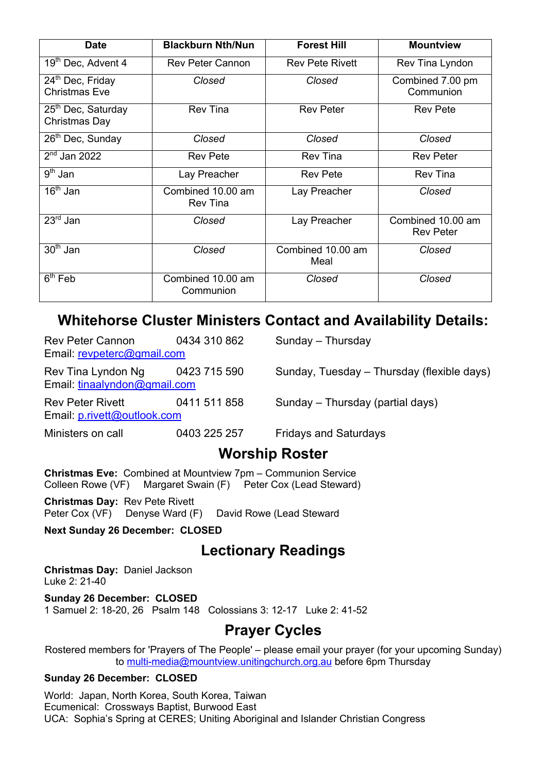| <b>Date</b>                                          | <b>Blackburn Nth/Nun</b>             | <b>Forest Hill</b>        | <b>Mountview</b>                      |
|------------------------------------------------------|--------------------------------------|---------------------------|---------------------------------------|
| 19 <sup>th</sup> Dec, Advent 4                       | <b>Rev Peter Cannon</b>              | <b>Rev Pete Rivett</b>    | Rev Tina Lyndon                       |
| 24 <sup>th</sup> Dec, Friday<br><b>Christmas Eve</b> | Closed                               | Closed                    | Combined 7.00 pm<br>Communion         |
| 25 <sup>th</sup> Dec, Saturday<br>Christmas Day      | <b>Rev Tina</b>                      | <b>Rev Peter</b>          | <b>Rev Pete</b>                       |
| 26 <sup>th</sup> Dec, Sunday                         | Closed                               | Closed                    | Closed                                |
| $2nd$ Jan 2022                                       | <b>Rev Pete</b>                      | <b>Rev Tina</b>           | <b>Rev Peter</b>                      |
| $9th$ Jan                                            | Lay Preacher                         | <b>Rev Pete</b>           | <b>Rev Tina</b>                       |
| $16th$ Jan                                           | Combined 10.00 am<br><b>Rev Tina</b> | Lay Preacher              | Closed                                |
| $23rd$ Jan                                           | Closed                               | Lay Preacher              | Combined 10.00 am<br><b>Rev Peter</b> |
| $30th$ Jan                                           | Closed                               | Combined 10.00 am<br>Meal | Closed                                |
| $6th$ Feb                                            | Combined 10.00 am<br>Communion       | Closed                    | Closed                                |

# **Whitehorse Cluster Ministers Contact and Availability Details:**

| Rev Peter Cannon<br>Email: revpeterc@gmail.com         | 0434 310 862 | Sunday - Thursday                          |
|--------------------------------------------------------|--------------|--------------------------------------------|
| Rev Tina Lyndon Ng<br>Email: tinaalyndon@gmail.com     | 0423 715 590 | Sunday, Tuesday - Thursday (flexible days) |
| <b>Rev Peter Rivett</b><br>Email: p.rivett@outlook.com | 0411 511 858 | Sunday – Thursday (partial days)           |
| Ministers on call                                      | 0403 225 257 | <b>Fridays and Saturdays</b>               |

# **Worship Roster**

**Christmas Eve:** Combined at Mountview 7pm – Communion Service Colleen Rowe (VF) Margaret Swain (F) Peter Cox (Lead Steward)

**Christmas Day:** Rev Pete Rivett Peter Cox (VF) Denyse Ward (F) David Rowe (Lead Steward

**Next Sunday 26 December: CLOSED**

# **Lectionary Readings**

**Christmas Day:** Daniel Jackson Luke 2: 21-40

**Sunday 26 December: CLOSED** 1 Samuel 2: 18-20, 26 Psalm 148 Colossians 3: 12-17 Luke 2: 41-52

# **Prayer Cycles**

Rostered members for 'Prayers of The People' – please email your prayer (for your upcoming Sunday) to multi-media@mountview.unitingchurch.org.au before 6pm Thursday

#### **Sunday 26 December: CLOSED**

World: Japan, North Korea, South Korea, Taiwan Ecumenical: Crossways Baptist, Burwood East UCA: Sophia's Spring at CERES; Uniting Aboriginal and Islander Christian Congress